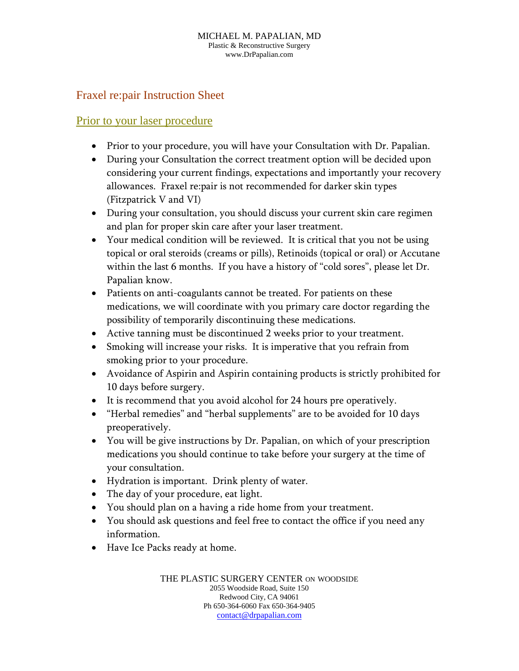## Fraxel re:pair Instruction Sheet

#### Prior to your laser procedure

- Prior to your procedure, you will have your Consultation with Dr. Papalian.
- During your Consultation the correct treatment option will be decided upon considering your current findings, expectations and importantly your recovery allowances. Fraxel re:pair is not recommended for darker skin types (Fitzpatrick V and VI)
- During your consultation, you should discuss your current skin care regimen and plan for proper skin care after your laser treatment.
- Your medical condition will be reviewed. It is critical that you not be using topical or oral steroids (creams or pills), Retinoids (topical or oral) or Accutane within the last 6 months. If you have a history of "cold sores", please let Dr. Papalian know.
- Patients on anti-coagulants cannot be treated. For patients on these medications, we will coordinate with you primary care doctor regarding the possibility of temporarily discontinuing these medications.
- Active tanning must be discontinued 2 weeks prior to your treatment.
- Smoking will increase your risks. It is imperative that you refrain from smoking prior to your procedure.
- Avoidance of Aspirin and Aspirin containing products is strictly prohibited for 10 days before surgery.
- It is recommend that you avoid alcohol for 24 hours pre operatively.
- "Herbal remedies" and "herbal supplements" are to be avoided for 10 days preoperatively.
- You will be give instructions by Dr. Papalian, on which of your prescription medications you should continue to take before your surgery at the time of your consultation.
- Hydration is important. Drink plenty of water.
- The day of your procedure, eat light.
- You should plan on a having a ride home from your treatment.
- You should ask questions and feel free to contact the office if you need any information.
- Have Ice Packs ready at home.

THE PLASTIC SURGERY CENTER ON WOODSIDE 2055 Woodside Road, Suite 150 Redwood City, CA 94061 Ph 650-364-6060 Fax 650-364-9405 contact@drpapalian.com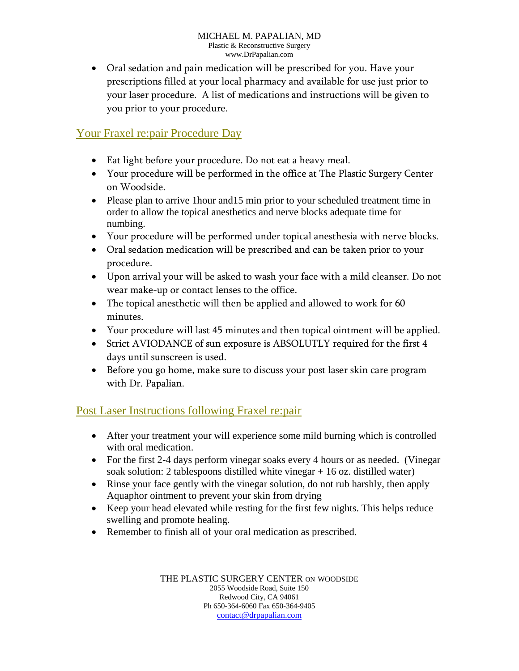Oral sedation and pain medication will be prescribed for you. Have your prescriptions filled at your local pharmacy and available for use just prior to your laser procedure. A list of medications and instructions will be given to you prior to your procedure.

## Your Fraxel re:pair Procedure Day

- Eat light before your procedure. Do not eat a heavy meal.
- Your procedure will be performed in the office at The Plastic Surgery Center on Woodside.
- Please plan to arrive 1 hour and 15 min prior to your scheduled treatment time in order to allow the topical anesthetics and nerve blocks adequate time for numbing.
- Your procedure will be performed under topical anesthesia with nerve blocks.
- Oral sedation medication will be prescribed and can be taken prior to your procedure.
- Upon arrival your will be asked to wash your face with a mild cleanser. Do not wear make-up or contact lenses to the office.
- The topical anesthetic will then be applied and allowed to work for 60 minutes.
- Your procedure will last 45 minutes and then topical ointment will be applied.
- Strict AVIODANCE of sun exposure is ABSOLUTLY required for the first 4 days until sunscreen is used.
- Before you go home, make sure to discuss your post laser skin care program with Dr. Papalian.

# Post Laser Instructions following Fraxel re:pair

- After your treatment your will experience some mild burning which is controlled with oral medication.
- For the first 2-4 days perform vinegar soaks every 4 hours or as needed. (Vinegar soak solution: 2 tablespoons distilled white vinegar + 16 oz. distilled water)
- Rinse your face gently with the vinegar solution, do not rub harshly, then apply Aquaphor ointment to prevent your skin from drying
- Keep your head elevated while resting for the first few nights. This helps reduce swelling and promote healing.
- Remember to finish all of your oral medication as prescribed.

THE PLASTIC SURGERY CENTER ON WOODSIDE 2055 Woodside Road, Suite 150 Redwood City, CA 94061 Ph 650-364-6060 Fax 650-364-9405 contact@drpapalian.com